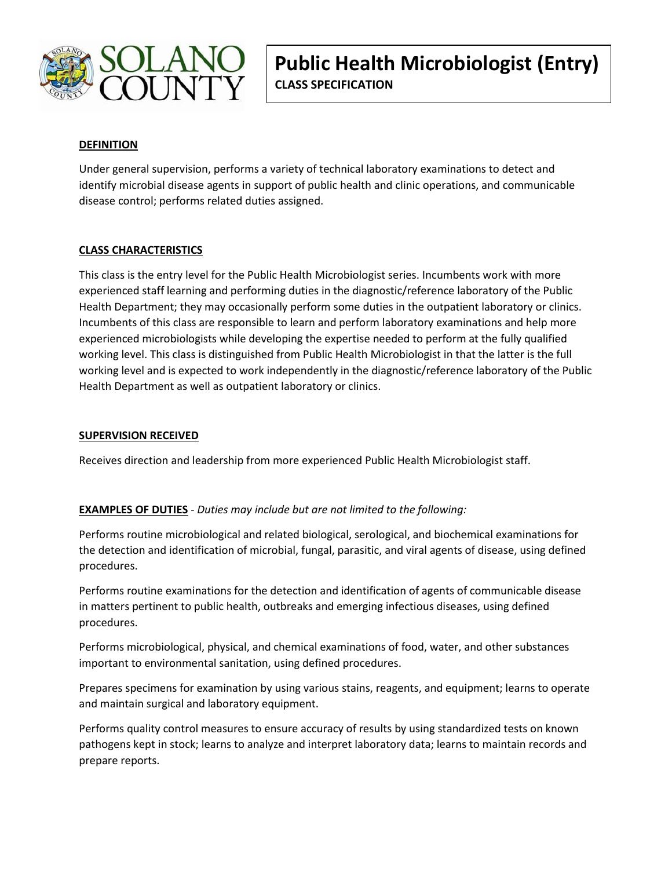

# **DEFINITION**

Under general supervision, performs a variety of technical laboratory examinations to detect and identify microbial disease agents in support of public health and clinic operations, and communicable disease control; performs related duties assigned.

# **CLASS CHARACTERISTICS**

This class is the entry level for the Public Health Microbiologist series. Incumbents work with more experienced staff learning and performing duties in the diagnostic/reference laboratory of the Public Health Department; they may occasionally perform some duties in the outpatient laboratory or clinics. Incumbents of this class are responsible to learn and perform laboratory examinations and help more experienced microbiologists while developing the expertise needed to perform at the fully qualified working level. This class is distinguished from Public Health Microbiologist in that the latter is the full working level and is expected to work independently in the diagnostic/reference laboratory of the Public Health Department as well as outpatient laboratory or clinics.

### **SUPERVISION RECEIVED**

Receives direction and leadership from more experienced Public Health Microbiologist staff.

### **EXAMPLES OF DUTIES** - *Duties may include but are not limited to the following:*

Performs routine microbiological and related biological, serological, and biochemical examinations for the detection and identification of microbial, fungal, parasitic, and viral agents of disease, using defined procedures.

Performs routine examinations for the detection and identification of agents of communicable disease in matters pertinent to public health, outbreaks and emerging infectious diseases, using defined procedures.

Performs microbiological, physical, and chemical examinations of food, water, and other substances important to environmental sanitation, using defined procedures.

Prepares specimens for examination by using various stains, reagents, and equipment; learns to operate and maintain surgical and laboratory equipment.

Performs quality control measures to ensure accuracy of results by using standardized tests on known pathogens kept in stock; learns to analyze and interpret laboratory data; learns to maintain records and prepare reports.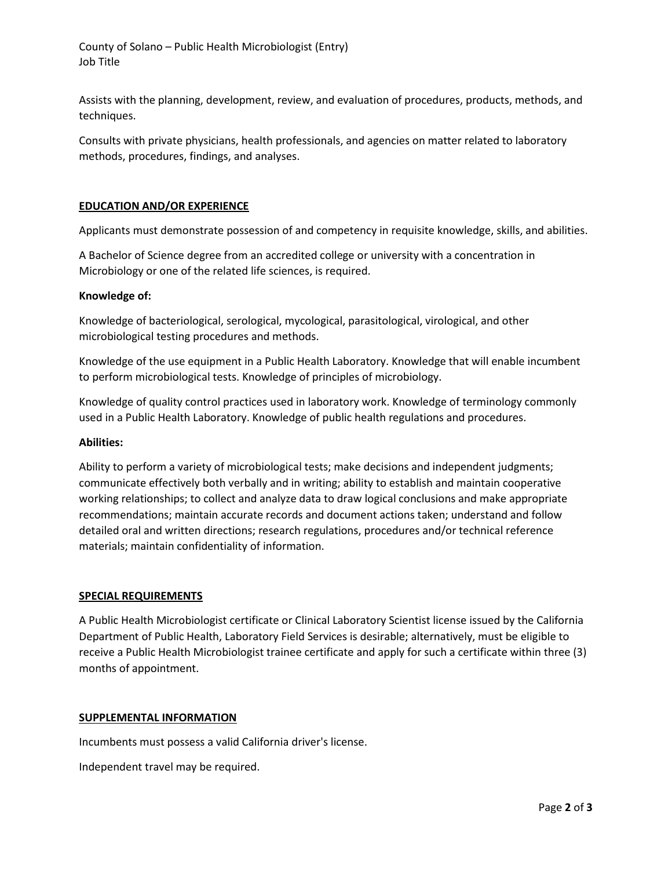County of Solano – Public Health Microbiologist (Entry) Job Title

Assists with the planning, development, review, and evaluation of procedures, products, methods, and techniques.

Consults with private physicians, health professionals, and agencies on matter related to laboratory methods, procedures, findings, and analyses.

#### **EDUCATION AND/OR EXPERIENCE**

Applicants must demonstrate possession of and competency in requisite knowledge, skills, and abilities.

A Bachelor of Science degree from an accredited college or university with a concentration in Microbiology or one of the related life sciences, is required.

#### **Knowledge of:**

Knowledge of bacteriological, serological, mycological, parasitological, virological, and other microbiological testing procedures and methods.

Knowledge of the use equipment in a Public Health Laboratory. Knowledge that will enable incumbent to perform microbiological tests. Knowledge of principles of microbiology.

Knowledge of quality control practices used in laboratory work. Knowledge of terminology commonly used in a Public Health Laboratory. Knowledge of public health regulations and procedures.

#### **Abilities:**

Ability to perform a variety of microbiological tests; make decisions and independent judgments; communicate effectively both verbally and in writing; ability to establish and maintain cooperative working relationships; to collect and analyze data to draw logical conclusions and make appropriate recommendations; maintain accurate records and document actions taken; understand and follow detailed oral and written directions; research regulations, procedures and/or technical reference materials; maintain confidentiality of information.

#### **SPECIAL REQUIREMENTS**

A Public Health Microbiologist certificate or Clinical Laboratory Scientist license issued by the California Department of Public Health, Laboratory Field Services is desirable; alternatively, must be eligible to receive a Public Health Microbiologist trainee certificate and apply for such a certificate within three (3) months of appointment.

#### **SUPPLEMENTAL INFORMATION**

Incumbents must possess a valid California driver's license.

Independent travel may be required.